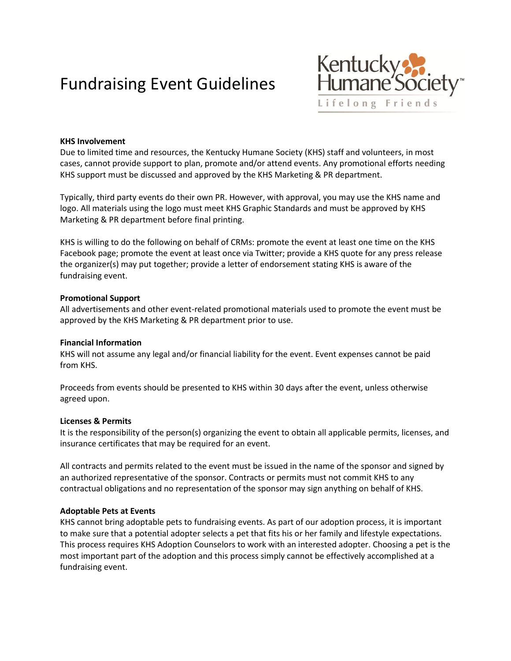# Fundraising Event Guidelines



## **KHS Involvement**

Due to limited time and resources, the Kentucky Humane Society (KHS) staff and volunteers, in most cases, cannot provide support to plan, promote and/or attend events. Any promotional efforts needing KHS support must be discussed and approved by the KHS Marketing & PR department.

Typically, third party events do their own PR. However, with approval, you may use the KHS name and logo. All materials using the logo must meet KHS Graphic Standards and must be approved by KHS Marketing & PR department before final printing.

KHS is willing to do the following on behalf of CRMs: promote the event at least one time on the KHS Facebook page; promote the event at least once via Twitter; provide a KHS quote for any press release the organizer(s) may put together; provide a letter of endorsement stating KHS is aware of the fundraising event.

### **Promotional Support**

All advertisements and other event-related promotional materials used to promote the event must be approved by the KHS Marketing & PR department prior to use.

#### **Financial Information**

KHS will not assume any legal and/or financial liability for the event. Event expenses cannot be paid from KHS.

Proceeds from events should be presented to KHS within 30 days after the event, unless otherwise agreed upon.

#### **Licenses & Permits**

It is the responsibility of the person(s) organizing the event to obtain all applicable permits, licenses, and insurance certificates that may be required for an event.

All contracts and permits related to the event must be issued in the name of the sponsor and signed by an authorized representative of the sponsor. Contracts or permits must not commit KHS to any contractual obligations and no representation of the sponsor may sign anything on behalf of KHS.

#### **Adoptable Pets at Events**

KHS cannot bring adoptable pets to fundraising events. As part of our adoption process, it is important to make sure that a potential adopter selects a pet that fits his or her family and lifestyle expectations. This process requires KHS Adoption Counselors to work with an interested adopter. Choosing a pet is the most important part of the adoption and this process simply cannot be effectively accomplished at a fundraising event.